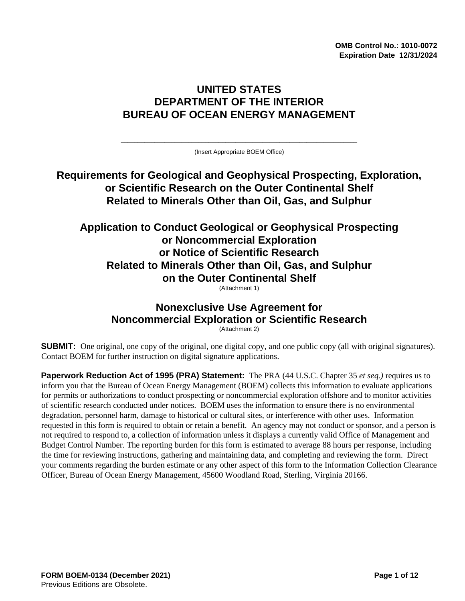**OMB Control No.: 1010-0072 Expiration Date 12/31/2024**

# **UNITED STATES DEPARTMENT OF THE INTERIOR BUREAU OF OCEAN ENERGY MANAGEMENT**

**\_\_\_\_\_\_\_\_\_\_\_\_\_\_\_\_\_\_\_\_\_\_\_\_\_\_\_\_\_\_\_\_\_\_\_\_\_\_\_\_\_\_\_\_\_\_\_\_\_\_\_\_\_\_\_\_\_\_\_\_\_\_\_\_\_\_\_\_\_\_** (Insert Appropriate BOEM Office)

# **Requirements for Geological and Geophysical Prospecting, Exploration, or Scientific Research on the Outer Continental Shelf Related to Minerals Other than Oil, Gas, and Sulphur**

# **Application to Conduct Geological or Geophysical Prospecting or Noncommercial Exploration or Notice of Scientific Research Related to Minerals Other than Oil, Gas, and Sulphur on the Outer Continental Shelf**

(Attachment 1)

#### **Nonexclusive Use Agreement for Noncommercial Exploration or Scientific Research** (Attachment 2)

**SUBMIT:** One original, one copy of the original, one digital copy, and one public copy (all with original signatures). Contact BOEM for further instruction on digital signature applications.

**Paperwork Reduction Act of 1995 (PRA) Statement:** The PRA (44 U.S.C. Chapter 35 *et seq.)* requires us to inform you that the Bureau of Ocean Energy Management (BOEM) collects this information to evaluate applications for permits or authorizations to conduct prospecting or noncommercial exploration offshore and to monitor activities of scientific research conducted under notices. BOEM uses the information to ensure there is no environmental degradation, personnel harm, damage to historical or cultural sites, or interference with other uses. Information requested in this form is required to obtain or retain a benefit. An agency may not conduct or sponsor, and a person is not required to respond to, a collection of information unless it displays a currently valid Office of Management and Budget Control Number. The reporting burden for this form is estimated to average 88 hours per response, including the time for reviewing instructions, gathering and maintaining data, and completing and reviewing the form. Direct your comments regarding the burden estimate or any other aspect of this form to the Information Collection Clearance Officer, Bureau of Ocean Energy Management, 45600 Woodland Road, Sterling, Virginia 20166.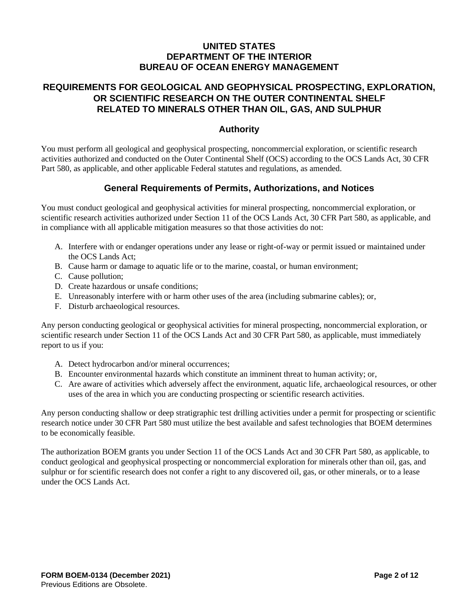### **UNITED STATES DEPARTMENT OF THE INTERIOR BUREAU OF OCEAN ENERGY MANAGEMENT**

### **REQUIREMENTS FOR GEOLOGICAL AND GEOPHYSICAL PROSPECTING, EXPLORATION, OR SCIENTIFIC RESEARCH ON THE OUTER CONTINENTAL SHELF RELATED TO MINERALS OTHER THAN OIL, GAS, AND SULPHUR**

### **Authority**

You must perform all geological and geophysical prospecting, noncommercial exploration, or scientific research activities authorized and conducted on the Outer Continental Shelf (OCS) according to the OCS Lands Act, 30 CFR Part 580, as applicable, and other applicable Federal statutes and regulations, as amended.

### **General Requirements of Permits, Authorizations, and Notices**

You must conduct geological and geophysical activities for mineral prospecting, noncommercial exploration, or scientific research activities authorized under Section 11 of the OCS Lands Act, 30 CFR Part 580, as applicable, and in compliance with all applicable mitigation measures so that those activities do not:

- A. Interfere with or endanger operations under any lease or right-of-way or permit issued or maintained under the OCS Lands Act;
- B. Cause harm or damage to aquatic life or to the marine, coastal, or human environment;
- C. Cause pollution;
- D. Create hazardous or unsafe conditions;
- E. Unreasonably interfere with or harm other uses of the area (including submarine cables); or,
- F. Disturb archaeological resources.

Any person conducting geological or geophysical activities for mineral prospecting, noncommercial exploration, or scientific research under Section 11 of the OCS Lands Act and 30 CFR Part 580, as applicable, must immediately report to us if you:

- A. Detect hydrocarbon and/or mineral occurrences;
- B. Encounter environmental hazards which constitute an imminent threat to human activity; or,
- C. Are aware of activities which adversely affect the environment, aquatic life, archaeological resources, or other uses of the area in which you are conducting prospecting or scientific research activities.

Any person conducting shallow or deep stratigraphic test drilling activities under a permit for prospecting or scientific research notice under 30 CFR Part 580 must utilize the best available and safest technologies that BOEM determines to be economically feasible.

The authorization BOEM grants you under Section 11 of the OCS Lands Act and 30 CFR Part 580, as applicable, to conduct geological and geophysical prospecting or noncommercial exploration for minerals other than oil, gas, and sulphur or for scientific research does not confer a right to any discovered oil, gas, or other minerals, or to a lease under the OCS Lands Act.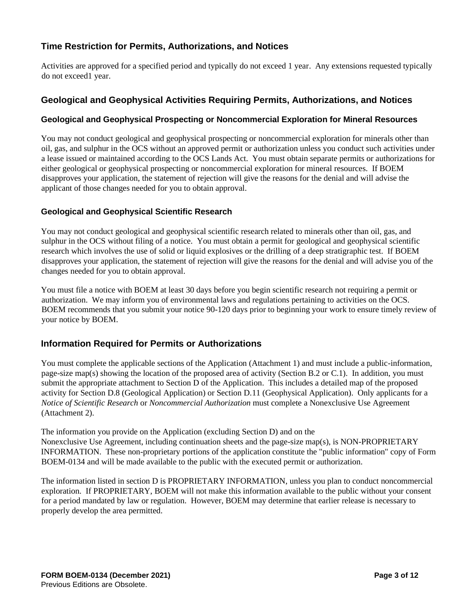## **Time Restriction for Permits, Authorizations, and Notices**

Activities are approved for a specified period and typically do not exceed 1 year. Any extensions requested typically do not exceed1 year.

#### **Geological and Geophysical Activities Requiring Permits, Authorizations, and Notices**

#### **Geological and Geophysical Prospecting or Noncommercial Exploration for Mineral Resources**

You may not conduct geological and geophysical prospecting or noncommercial exploration for minerals other than oil, gas, and sulphur in the OCS without an approved permit or authorization unless you conduct such activities under a lease issued or maintained according to the OCS Lands Act. You must obtain separate permits or authorizations for either geological or geophysical prospecting or noncommercial exploration for mineral resources. If BOEM disapproves your application, the statement of rejection will give the reasons for the denial and will advise the applicant of those changes needed for you to obtain approval.

#### **Geological and Geophysical Scientific Research**

You may not conduct geological and geophysical scientific research related to minerals other than oil, gas, and sulphur in the OCS without filing of a notice. You must obtain a permit for geological and geophysical scientific research which involves the use of solid or liquid explosives or the drilling of a deep stratigraphic test. If BOEM disapproves your application, the statement of rejection will give the reasons for the denial and will advise you of the changes needed for you to obtain approval.

You must file a notice with BOEM at least 30 days before you begin scientific research not requiring a permit or authorization. We may inform you of environmental laws and regulations pertaining to activities on the OCS. BOEM recommends that you submit your notice 90-120 days prior to beginning your work to ensure timely review of your notice by BOEM.

### **Information Required for Permits or Authorizations**

You must complete the applicable sections of the Application (Attachment 1) and must include a public-information, page-size map(s) showing the location of the proposed area of activity (Section B.2 or C.1). In addition, you must submit the appropriate attachment to Section D of the Application. This includes a detailed map of the proposed activity for Section D.8 (Geological Application) or Section D.11 (Geophysical Application). Only applicants for a *Notice of Scientific Research* or *Noncommercial Authorization* must complete a Nonexclusive Use Agreement (Attachment 2).

The information you provide on the Application (excluding Section D) and on the Nonexclusive Use Agreement, including continuation sheets and the page-size map(s), is NON-PROPRIETARY INFORMATION. These non-proprietary portions of the application constitute the "public information" copy of Form BOEM-0134 and will be made available to the public with the executed permit or authorization.

The information listed in section D is PROPRIETARY INFORMATION, unless you plan to conduct noncommercial exploration. If PROPRIETARY, BOEM will not make this information available to the public without your consent for a period mandated by law or regulation. However, BOEM may determine that earlier release is necessary to properly develop the area permitted.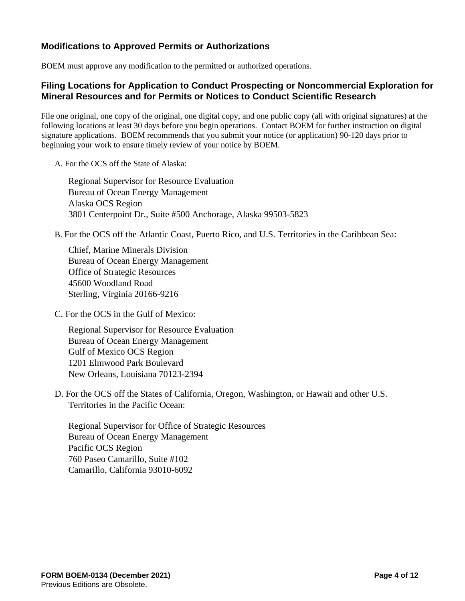## **Modifications to Approved Permits or Authorizations**

BOEM must approve any modification to the permitted or authorized operations.

#### **Filing Locations for Application to Conduct Prospecting or Noncommercial Exploration for Mineral Resources and for Permits or Notices to Conduct Scientific Research**

File one original, one copy of the original, one digital copy, and one public copy (all with original signatures) at the following locations at least 30 days before you begin operations. Contact BOEM for further instruction on digital signature applications. BOEM recommends that you submit your notice (or application) 90-120 days prior to beginning your work to ensure timely review of your notice by BOEM.

A. For the OCS off the State of Alaska:

Regional Supervisor for Resource Evaluation Bureau of Ocean Energy Management Alaska OCS Region 3801 Centerpoint Dr., Suite #500 Anchorage, Alaska 99503-5823

B. For the OCS off the Atlantic Coast, Puerto Rico, and U.S. Territories in the Caribbean Sea:

Chief, Marine Minerals Division Bureau of Ocean Energy Management Office of Strategic Resources 45600 Woodland Road Sterling, Virginia 20166-9216

C. For the OCS in the Gulf of Mexico:

Regional Supervisor for Resource Evaluation Bureau of Ocean Energy Management Gulf of Mexico OCS Region 1201 Elmwood Park Boulevard New Orleans, Louisiana 70123-2394

D. For the OCS off the States of California, Oregon, Washington, or Hawaii and other U.S. Territories in the Pacific Ocean:

Regional Supervisor for Office of Strategic Resources Bureau of Ocean Energy Management Pacific OCS Region 760 Paseo Camarillo, Suite #102 Camarillo, California 93010-6092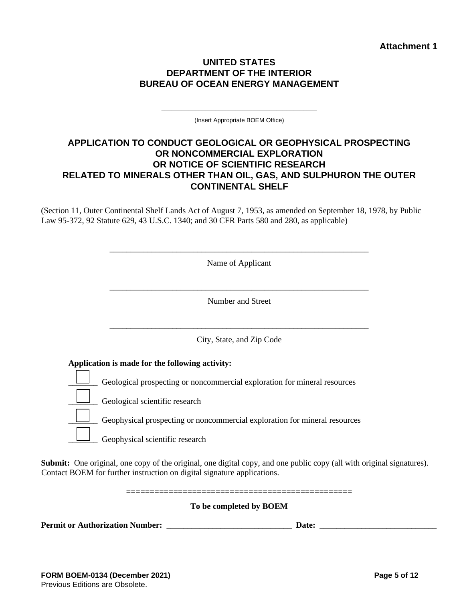#### **UNITED STATES DEPARTMENT OF THE INTERIOR BUREAU OF OCEAN ENERGY MANAGEMENT**

**\_\_\_\_\_\_\_\_\_\_\_\_\_\_\_\_\_\_\_\_\_\_\_\_\_\_\_\_\_\_\_\_\_\_\_\_\_\_\_\_\_\_\_\_\_\_** (Insert Appropriate BOEM Office)

### **APPLICATION TO CONDUCT GEOLOGICAL OR GEOPHYSICAL PROSPECTING OR NONCOMMERCIAL EXPLORATION OR NOTICE OF SCIENTIFIC RESEARCH RELATED TO MINERALS OTHER THAN OIL, GAS, AND SULPHURON THE OUTER CONTINENTAL SHELF**

(Section 11, Outer Continental Shelf Lands Act of August 7, 1953, as amended on September 18, 1978, by Public Law 95-372, 92 Statute 629, 43 U.S.C. 1340; and 30 CFR Parts 580 and 280, as applicable)

| Name of Applicant                                                          |  |
|----------------------------------------------------------------------------|--|
| Number and Street                                                          |  |
| City, State, and Zip Code                                                  |  |
| Application is made for the following activity:                            |  |
| Geological prospecting or noncommercial exploration for mineral resources  |  |
| Geological scientific research                                             |  |
| Geophysical prospecting or noncommercial exploration for mineral resources |  |
| Geophysical scientific research                                            |  |

**Submit:** One original, one copy of the original, one digital copy, and one public copy (all with original signatures). Contact BOEM for further instruction on digital signature applications.

================================================

**To be completed by BOEM**

**Permit or Authorization Number:** \_\_\_\_\_\_\_\_\_\_\_\_\_\_\_\_\_\_\_\_\_\_\_\_\_\_\_\_\_\_ **Date:** \_\_\_\_\_\_\_\_\_\_\_\_\_\_\_\_\_\_\_\_\_\_\_\_\_\_\_\_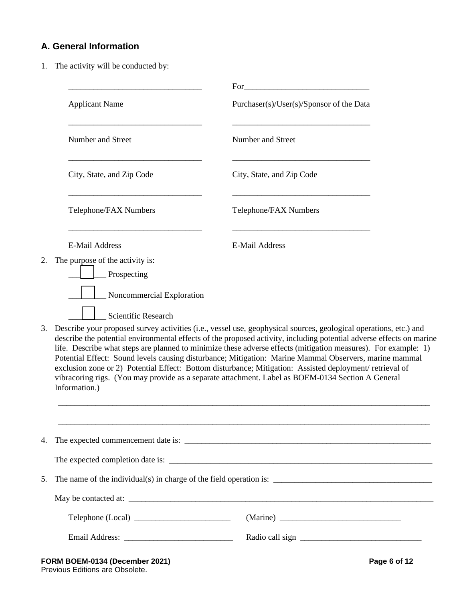## **A. General Information**

1. The activity will be conducted by:

|    | <b>Applicant Name</b>           |                                                                                                                                                                                                                                                                                                                                                                                                                                                                                                                                                                                                                                                                                        |  |  |  |  |  |
|----|---------------------------------|----------------------------------------------------------------------------------------------------------------------------------------------------------------------------------------------------------------------------------------------------------------------------------------------------------------------------------------------------------------------------------------------------------------------------------------------------------------------------------------------------------------------------------------------------------------------------------------------------------------------------------------------------------------------------------------|--|--|--|--|--|
|    |                                 | Purchaser(s)/User(s)/Sponsor of the Data                                                                                                                                                                                                                                                                                                                                                                                                                                                                                                                                                                                                                                               |  |  |  |  |  |
|    | Number and Street               | Number and Street                                                                                                                                                                                                                                                                                                                                                                                                                                                                                                                                                                                                                                                                      |  |  |  |  |  |
|    | City, State, and Zip Code       | City, State, and Zip Code                                                                                                                                                                                                                                                                                                                                                                                                                                                                                                                                                                                                                                                              |  |  |  |  |  |
|    | Telephone/FAX Numbers           | Telephone/FAX Numbers                                                                                                                                                                                                                                                                                                                                                                                                                                                                                                                                                                                                                                                                  |  |  |  |  |  |
|    | E-Mail Address                  | <b>E-Mail Address</b>                                                                                                                                                                                                                                                                                                                                                                                                                                                                                                                                                                                                                                                                  |  |  |  |  |  |
| 2. | The purpose of the activity is: |                                                                                                                                                                                                                                                                                                                                                                                                                                                                                                                                                                                                                                                                                        |  |  |  |  |  |
|    | Prospecting                     |                                                                                                                                                                                                                                                                                                                                                                                                                                                                                                                                                                                                                                                                                        |  |  |  |  |  |
|    | Noncommercial Exploration       |                                                                                                                                                                                                                                                                                                                                                                                                                                                                                                                                                                                                                                                                                        |  |  |  |  |  |
|    | Scientific Research             |                                                                                                                                                                                                                                                                                                                                                                                                                                                                                                                                                                                                                                                                                        |  |  |  |  |  |
| 3. | Information.)                   | Describe your proposed survey activities (i.e., vessel use, geophysical sources, geological operations, etc.) and<br>describe the potential environmental effects of the proposed activity, including potential adverse effects on marine<br>life. Describe what steps are planned to minimize these adverse effects (mitigation measures). For example: 1)<br>Potential Effect: Sound levels causing disturbance; Mitigation: Marine Mammal Observers, marine mammal<br>exclusion zone or 2) Potential Effect: Bottom disturbance; Mitigation: Assisted deployment/ retrieval of<br>vibracoring rigs. (You may provide as a separate attachment. Label as BOEM-0134 Section A General |  |  |  |  |  |
|    |                                 |                                                                                                                                                                                                                                                                                                                                                                                                                                                                                                                                                                                                                                                                                        |  |  |  |  |  |
| 4. |                                 |                                                                                                                                                                                                                                                                                                                                                                                                                                                                                                                                                                                                                                                                                        |  |  |  |  |  |
|    |                                 |                                                                                                                                                                                                                                                                                                                                                                                                                                                                                                                                                                                                                                                                                        |  |  |  |  |  |
| 5. |                                 |                                                                                                                                                                                                                                                                                                                                                                                                                                                                                                                                                                                                                                                                                        |  |  |  |  |  |
|    |                                 |                                                                                                                                                                                                                                                                                                                                                                                                                                                                                                                                                                                                                                                                                        |  |  |  |  |  |
|    | Telephone (Local)               |                                                                                                                                                                                                                                                                                                                                                                                                                                                                                                                                                                                                                                                                                        |  |  |  |  |  |
|    |                                 |                                                                                                                                                                                                                                                                                                                                                                                                                                                                                                                                                                                                                                                                                        |  |  |  |  |  |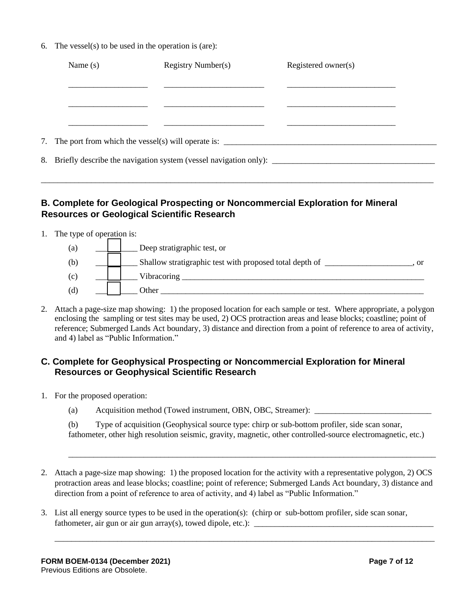6. The vessel(s) to be used in the operation is (are):

| Name $(s)$ | Registry Number(s)                                                                                                                 | Registered owner(s) |  |
|------------|------------------------------------------------------------------------------------------------------------------------------------|---------------------|--|
|            |                                                                                                                                    |                     |  |
|            |                                                                                                                                    |                     |  |
|            |                                                                                                                                    |                     |  |
|            |                                                                                                                                    |                     |  |
|            | 7. The port from which the vessel(s) will operate is: $\frac{1}{\sqrt{1-\frac{1}{2}}}\left  \frac{1}{\sqrt{1-\frac{1}{2}}}\right $ |                     |  |
|            |                                                                                                                                    |                     |  |
|            |                                                                                                                                    |                     |  |

## **B. Complete for Geological Prospecting or Noncommercial Exploration for Mineral Resources or Geological Scientific Research**

- 1. The type of operation is:
	- (a)  $\qquad$  Deep stratigraphic test, or (b) Shallow stratigraphic test with proposed total depth of  $\Box$ (c) \_\_\_\_\_\_\_\_\_\_ Vibracoring \_\_\_\_\_\_\_\_\_\_\_\_\_\_\_\_\_\_\_\_\_\_\_\_\_\_\_\_\_\_\_\_\_\_\_\_\_\_\_\_\_\_\_\_\_\_\_\_\_\_\_\_\_\_\_\_\_\_  $(d)$   $\Box$  Other  $\Box$
- 2. Attach a page-size map showing: 1) the proposed location for each sample or test. Where appropriate, a polygon enclosing the sampling or test sites may be used, 2) OCS protraction areas and lease blocks; coastline; point of reference; Submerged Lands Act boundary, 3) distance and direction from a point of reference to area of activity, and 4) label as "Public Information."

#### **C. Complete for Geophysical Prospecting or Noncommercial Exploration for Mineral Resources or Geophysical Scientific Research**

- 1. For the proposed operation:
	- (a) Acquisition method (Towed instrument, OBN, OBC, Streamer):

(b) Type of acquisition (Geophysical source type: chirp or sub-bottom profiler, side scan sonar, fathometer, other high resolution seismic, gravity, magnetic, other controlled-source electromagnetic, etc.)

\_\_\_\_\_\_\_\_\_\_\_\_\_\_\_\_\_\_\_\_\_\_\_\_\_\_\_\_\_\_\_\_\_\_\_\_\_\_\_\_\_\_\_\_\_\_\_\_\_\_\_\_\_\_\_\_\_\_\_\_\_\_\_\_\_\_\_\_\_\_\_\_\_\_\_\_\_\_\_\_\_\_\_\_\_\_\_\_

2. Attach a page-size map showing: 1) the proposed location for the activity with a representative polygon, 2) OCS protraction areas and lease blocks; coastline; point of reference; Submerged Lands Act boundary, 3) distance and direction from a point of reference to area of activity, and 4) label as "Public Information."

\_\_\_\_\_\_\_\_\_\_\_\_\_\_\_\_\_\_\_\_\_\_\_\_\_\_\_\_\_\_\_\_\_\_\_\_\_\_\_\_\_\_\_\_\_\_\_\_\_\_\_\_\_\_\_\_\_\_\_\_\_\_\_\_\_\_\_\_\_\_\_\_\_\_\_\_\_\_\_\_\_\_\_\_\_\_\_\_\_\_\_

3. List all energy source types to be used in the operation(s): (chirp or sub-bottom profiler, side scan sonar, fathometer, air gun or air gun array(s), towed dipole, etc.):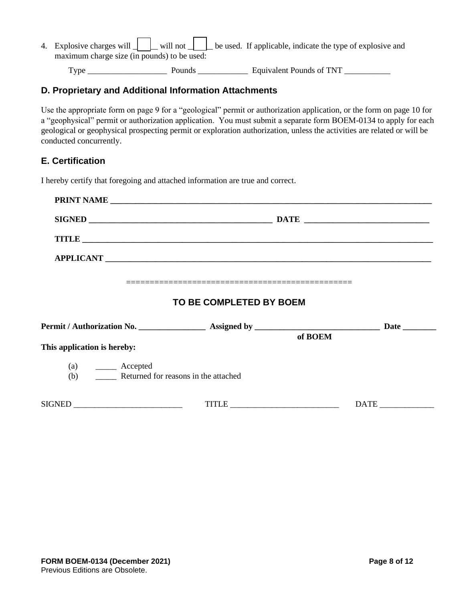| 4. Explosive charges will $\Box$ will not $\Box$ be used. If applicable, indicate the type of explosive and |  |  |  |  |  |
|-------------------------------------------------------------------------------------------------------------|--|--|--|--|--|
| maximum charge size (in pounds) to be used:                                                                 |  |  |  |  |  |
|                                                                                                             |  |  |  |  |  |

Type \_\_\_\_\_\_\_\_\_\_\_\_\_\_\_\_\_\_\_ Pounds \_\_\_\_\_\_\_\_\_\_\_\_ Equivalent Pounds of TNT \_\_\_\_\_\_\_\_\_\_\_

### **D. Proprietary and Additional Information Attachments**

Use the appropriate form on page 9 for a "geological" permit or authorization application, or the form on page 10 for a "geophysical" permit or authorization application. You must submit a separate form BOEM-0134 to apply for each geological or geophysical prospecting permit or exploration authorization, unless the activities are related or will be conducted concurrently.

### **E. Certification**

I hereby certify that foregoing and attached information are true and correct.

|                                                                            | TITLE                   |               |
|----------------------------------------------------------------------------|-------------------------|---------------|
|                                                                            |                         |               |
|                                                                            |                         |               |
|                                                                            | TO BE COMPLETED BY BOEM |               |
|                                                                            |                         |               |
| This application is hereby:                                                | of BOEM                 |               |
| $(a)$ $\qquad \qquad$ Accepted<br>(b) Returned for reasons in the attached |                         |               |
|                                                                            |                         | $\text{DATE}$ |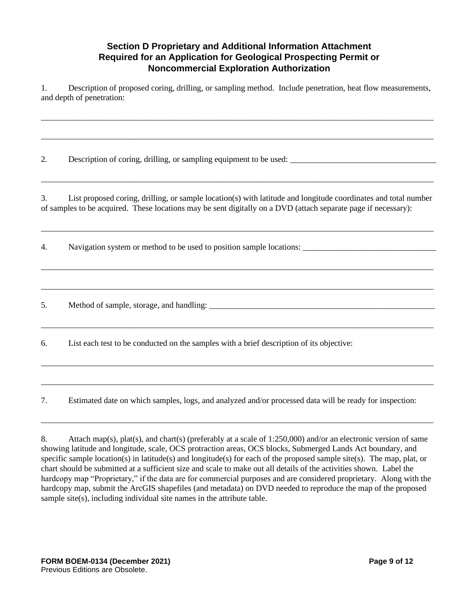### **Section D Proprietary and Additional Information Attachment Required for an Application for Geological Prospecting Permit or Noncommercial Exploration Authorization**

1. Description of proposed coring, drilling, or sampling method. Include penetration, heat flow measurements, and depth of penetration:

\_\_\_\_\_\_\_\_\_\_\_\_\_\_\_\_\_\_\_\_\_\_\_\_\_\_\_\_\_\_\_\_\_\_\_\_\_\_\_\_\_\_\_\_\_\_\_\_\_\_\_\_\_\_\_\_\_\_\_\_\_\_\_\_\_\_\_\_\_\_\_\_\_\_\_\_\_\_\_\_\_\_\_\_\_\_\_\_\_\_\_\_\_\_

\_\_\_\_\_\_\_\_\_\_\_\_\_\_\_\_\_\_\_\_\_\_\_\_\_\_\_\_\_\_\_\_\_\_\_\_\_\_\_\_\_\_\_\_\_\_\_\_\_\_\_\_\_\_\_\_\_\_\_\_\_\_\_\_\_\_\_\_\_\_\_\_\_\_\_\_\_\_\_\_\_\_\_\_\_\_\_\_\_\_\_\_\_\_

2. Description of coring, drilling, or sampling equipment to be used: \_\_\_\_\_\_\_\_\_\_\_\_\_\_\_\_\_\_\_\_\_\_\_\_\_\_\_\_\_\_\_\_\_\_\_

3. List proposed coring, drilling, or sample location(s) with latitude and longitude coordinates and total number of samples to be acquired. These locations may be sent digitally on a DVD (attach separate page if necessary):

\_\_\_\_\_\_\_\_\_\_\_\_\_\_\_\_\_\_\_\_\_\_\_\_\_\_\_\_\_\_\_\_\_\_\_\_\_\_\_\_\_\_\_\_\_\_\_\_\_\_\_\_\_\_\_\_\_\_\_\_\_\_\_\_\_\_\_\_\_\_\_\_\_\_\_\_\_\_\_\_\_\_\_\_\_\_\_\_\_\_\_\_\_\_

\_\_\_\_\_\_\_\_\_\_\_\_\_\_\_\_\_\_\_\_\_\_\_\_\_\_\_\_\_\_\_\_\_\_\_\_\_\_\_\_\_\_\_\_\_\_\_\_\_\_\_\_\_\_\_\_\_\_\_\_\_\_\_\_\_\_\_\_\_\_\_\_\_\_\_\_\_\_\_\_\_\_\_\_\_\_\_\_\_\_\_\_\_\_

\_\_\_\_\_\_\_\_\_\_\_\_\_\_\_\_\_\_\_\_\_\_\_\_\_\_\_\_\_\_\_\_\_\_\_\_\_\_\_\_\_\_\_\_\_\_\_\_\_\_\_\_\_\_\_\_\_\_\_\_\_\_\_\_\_\_\_\_\_\_\_\_\_\_\_\_\_\_\_\_\_\_\_\_\_\_\_\_\_\_\_\_\_\_

\_\_\_\_\_\_\_\_\_\_\_\_\_\_\_\_\_\_\_\_\_\_\_\_\_\_\_\_\_\_\_\_\_\_\_\_\_\_\_\_\_\_\_\_\_\_\_\_\_\_\_\_\_\_\_\_\_\_\_\_\_\_\_\_\_\_\_\_\_\_\_\_\_\_\_\_\_\_\_\_\_\_\_\_\_\_\_\_\_\_\_\_\_\_

\_\_\_\_\_\_\_\_\_\_\_\_\_\_\_\_\_\_\_\_\_\_\_\_\_\_\_\_\_\_\_\_\_\_\_\_\_\_\_\_\_\_\_\_\_\_\_\_\_\_\_\_\_\_\_\_\_\_\_\_\_\_\_\_\_\_\_\_\_\_\_\_\_\_\_\_\_\_\_\_\_\_\_\_\_\_\_\_\_\_\_\_\_\_

\_\_\_\_\_\_\_\_\_\_\_\_\_\_\_\_\_\_\_\_\_\_\_\_\_\_\_\_\_\_\_\_\_\_\_\_\_\_\_\_\_\_\_\_\_\_\_\_\_\_\_\_\_\_\_\_\_\_\_\_\_\_\_\_\_\_\_\_\_\_\_\_\_\_\_\_\_\_\_\_\_\_\_\_\_\_\_\_\_\_\_\_\_\_

\_\_\_\_\_\_\_\_\_\_\_\_\_\_\_\_\_\_\_\_\_\_\_\_\_\_\_\_\_\_\_\_\_\_\_\_\_\_\_\_\_\_\_\_\_\_\_\_\_\_\_\_\_\_\_\_\_\_\_\_\_\_\_\_\_\_\_\_\_\_\_\_\_\_\_\_\_\_\_\_\_\_\_\_\_\_\_\_\_\_\_\_\_\_

\_\_\_\_\_\_\_\_\_\_\_\_\_\_\_\_\_\_\_\_\_\_\_\_\_\_\_\_\_\_\_\_\_\_\_\_\_\_\_\_\_\_\_\_\_\_\_\_\_\_\_\_\_\_\_\_\_\_\_\_\_\_\_\_\_\_\_\_\_\_\_\_\_\_\_\_\_\_\_\_\_\_\_\_\_\_\_\_\_\_\_\_\_\_

4. Navigation system or method to be used to position sample locations:

5. Method of sample, storage, and handling:

6. List each test to be conducted on the samples with a brief description of its objective:

7. Estimated date on which samples, logs, and analyzed and/or processed data will be ready for inspection:

<sup>8.</sup> Attach map(s), plat(s), and chart(s) (preferably at a scale of 1:250,000) and/or an electronic version of same showing latitude and longitude, scale, OCS protraction areas, OCS blocks, Submerged Lands Act boundary, and specific sample location(s) in latitude(s) and longitude(s) for each of the proposed sample site(s). The map, plat, or chart should be submitted at a sufficient size and scale to make out all details of the activities shown. Label the hardcopy map "Proprietary," if the data are for commercial purposes and are considered proprietary. Along with the hardcopy map, submit the ArcGIS shapefiles (and metadata) on DVD needed to reproduce the map of the proposed sample site(s), including individual site names in the attribute table.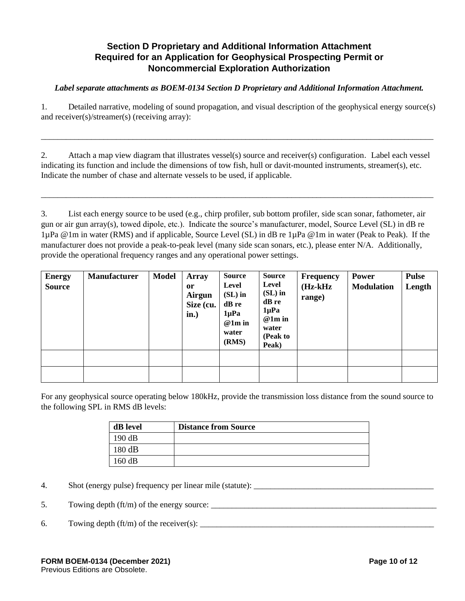## **Section D Proprietary and Additional Information Attachment Required for an Application for Geophysical Prospecting Permit or Noncommercial Exploration Authorization**

*Label separate attachments as BOEM-0134 Section D Proprietary and Additional Information Attachment.*

1. Detailed narrative, modeling of sound propagation, and visual description of the geophysical energy source(s) and receiver(s)/streamer(s) (receiving array):

\_\_\_\_\_\_\_\_\_\_\_\_\_\_\_\_\_\_\_\_\_\_\_\_\_\_\_\_\_\_\_\_\_\_\_\_\_\_\_\_\_\_\_\_\_\_\_\_\_\_\_\_\_\_\_\_\_\_\_\_\_\_\_\_\_\_\_\_\_\_\_\_\_\_\_\_\_\_\_\_\_\_\_\_\_\_\_\_\_\_\_\_\_\_

2. Attach a map view diagram that illustrates vessel(s) source and receiver(s) configuration. Label each vessel indicating its function and include the dimensions of tow fish, hull or davit-mounted instruments, streamer(s), etc. Indicate the number of chase and alternate vessels to be used, if applicable.

\_\_\_\_\_\_\_\_\_\_\_\_\_\_\_\_\_\_\_\_\_\_\_\_\_\_\_\_\_\_\_\_\_\_\_\_\_\_\_\_\_\_\_\_\_\_\_\_\_\_\_\_\_\_\_\_\_\_\_\_\_\_\_\_\_\_\_\_\_\_\_\_\_\_\_\_\_\_\_\_\_\_\_\_\_\_\_\_\_\_\_\_\_\_

3. List each energy source to be used (e.g., chirp profiler, sub bottom profiler, side scan sonar, fathometer, air gun or air gun array(s), towed dipole, etc.). Indicate the source's manufacturer, model, Source Level (SL) in dB re 1µPa @1m in water (RMS) and if applicable, Source Level (SL) in dB re 1µPa @1m in water (Peak to Peak). If the manufacturer does not provide a peak-to-peak level (many side scan sonars, etc.), please enter N/A. Additionally, provide the operational frequency ranges and any operational power settings.

| <b>Energy</b><br><b>Source</b> | <b>Manufacturer</b> | <b>Model</b> | <b>Array</b><br><sub>or</sub><br>Airgun<br>Size (cu.<br>in.) | <b>Source</b><br>Level<br>$(SL)$ in<br>dB re<br>$1\mu Pa$<br>$@1m$ in<br>water<br>(RMS) | <b>Source</b><br>Level<br>$(SL)$ in<br>dB re<br>$1\mu Pa$<br>$@1m$ in<br>water<br>(Peak to<br>Peak) | <b>Frequency</b><br>$(Hz-kHz)$<br>range) | Power<br><b>Modulation</b> | <b>Pulse</b><br>Length |
|--------------------------------|---------------------|--------------|--------------------------------------------------------------|-----------------------------------------------------------------------------------------|-----------------------------------------------------------------------------------------------------|------------------------------------------|----------------------------|------------------------|
|                                |                     |              |                                                              |                                                                                         |                                                                                                     |                                          |                            |                        |
|                                |                     |              |                                                              |                                                                                         |                                                                                                     |                                          |                            |                        |

For any geophysical source operating below 180kHz, provide the transmission loss distance from the sound source to the following SPL in RMS dB levels:

| dB level | <b>Distance from Source</b> |
|----------|-----------------------------|
| 190 dB   |                             |
| 180 dB   |                             |
| 160 dB   |                             |

4. Shot (energy pulse) frequency per linear mile (statute): \_\_\_\_\_\_\_\_\_\_\_\_\_\_\_\_\_\_\_\_\_\_\_\_\_\_\_\_\_\_\_\_\_\_\_\_\_\_\_\_\_\_\_

5. Towing depth  $(ft/m)$  of the energy source:

6. Towing depth  $(ft/m)$  of the receiver(s):  $\frac{1}{2}$   $\frac{1}{2}$   $\frac{1}{2}$   $\frac{1}{2}$   $\frac{1}{2}$   $\frac{1}{2}$   $\frac{1}{2}$   $\frac{1}{2}$   $\frac{1}{2}$   $\frac{1}{2}$   $\frac{1}{2}$   $\frac{1}{2}$   $\frac{1}{2}$   $\frac{1}{2}$   $\frac{1}{2}$   $\frac{1}{2}$   $\frac{1}{2}$   $\frac{1}{2}$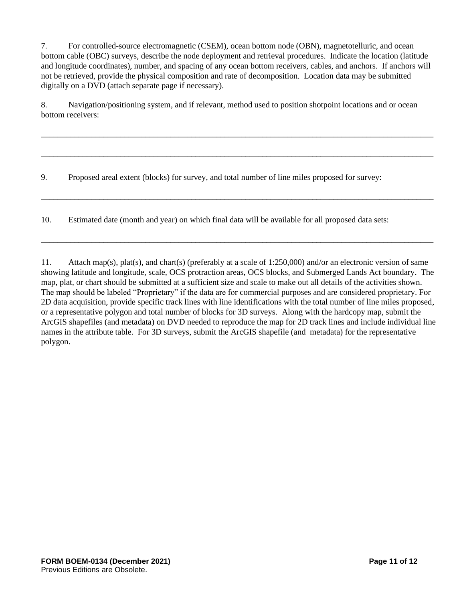7. For controlled-source electromagnetic (CSEM), ocean bottom node (OBN), magnetotelluric, and ocean bottom cable (OBC) surveys, describe the node deployment and retrieval procedures. Indicate the location (latitude and longitude coordinates), number, and spacing of any ocean bottom receivers, cables, and anchors. If anchors will not be retrieved, provide the physical composition and rate of decomposition. Location data may be submitted digitally on a DVD (attach separate page if necessary).

8. Navigation/positioning system, and if relevant, method used to position shotpoint locations and or ocean bottom receivers:

\_\_\_\_\_\_\_\_\_\_\_\_\_\_\_\_\_\_\_\_\_\_\_\_\_\_\_\_\_\_\_\_\_\_\_\_\_\_\_\_\_\_\_\_\_\_\_\_\_\_\_\_\_\_\_\_\_\_\_\_\_\_\_\_\_\_\_\_\_\_\_\_\_\_\_\_\_\_\_\_\_\_\_\_\_\_\_\_\_\_\_\_\_\_

\_\_\_\_\_\_\_\_\_\_\_\_\_\_\_\_\_\_\_\_\_\_\_\_\_\_\_\_\_\_\_\_\_\_\_\_\_\_\_\_\_\_\_\_\_\_\_\_\_\_\_\_\_\_\_\_\_\_\_\_\_\_\_\_\_\_\_\_\_\_\_\_\_\_\_\_\_\_\_\_\_\_\_\_\_\_\_\_\_\_\_\_\_\_

\_\_\_\_\_\_\_\_\_\_\_\_\_\_\_\_\_\_\_\_\_\_\_\_\_\_\_\_\_\_\_\_\_\_\_\_\_\_\_\_\_\_\_\_\_\_\_\_\_\_\_\_\_\_\_\_\_\_\_\_\_\_\_\_\_\_\_\_\_\_\_\_\_\_\_\_\_\_\_\_\_\_\_\_\_\_\_\_\_\_\_\_\_\_

\_\_\_\_\_\_\_\_\_\_\_\_\_\_\_\_\_\_\_\_\_\_\_\_\_\_\_\_\_\_\_\_\_\_\_\_\_\_\_\_\_\_\_\_\_\_\_\_\_\_\_\_\_\_\_\_\_\_\_\_\_\_\_\_\_\_\_\_\_\_\_\_\_\_\_\_\_\_\_\_\_\_\_\_\_\_\_\_\_\_\_\_\_\_

9. Proposed areal extent (blocks) for survey, and total number of line miles proposed for survey:

10. Estimated date (month and year) on which final data will be available for all proposed data sets:

11. Attach map(s), plat(s), and chart(s) (preferably at a scale of 1:250,000) and/or an electronic version of same showing latitude and longitude, scale, OCS protraction areas, OCS blocks, and Submerged Lands Act boundary. The map, plat, or chart should be submitted at a sufficient size and scale to make out all details of the activities shown. The map should be labeled "Proprietary" if the data are for commercial purposes and are considered proprietary. For 2D data acquisition, provide specific track lines with line identifications with the total number of line miles proposed, or a representative polygon and total number of blocks for 3D surveys. Along with the hardcopy map, submit the ArcGIS shapefiles (and metadata) on DVD needed to reproduce the map for 2D track lines and include individual line names in the attribute table. For 3D surveys, submit the ArcGIS shapefile (and metadata) for the representative polygon.